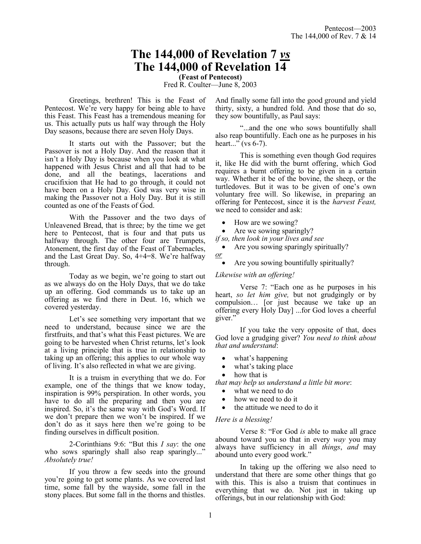# **The 144,000 of Revelation 7** *vs* **The 144,000 of Revelation 14**

**(Feast of Pentecost)** Fred R. Coulter—June 8, 2003

Greetings, brethren! This is the Feast of Pentecost. We're very happy for being able to have this Feast. This Feast has a tremendous meaning for us. This actually puts us half way through the Holy Day seasons, because there are seven Holy Days.

It starts out with the Passover; but the Passover is not a Holy Day. And the reason that it isn't a Holy Day is because when you look at what happened with Jesus Christ and all that had to be done, and all the beatings, lacerations and crucifixion that He had to go through, it could not have been on a Holy Day. God was very wise in making the Passover not a Holy Day. But it is still counted as one of the Feasts of God.

With the Passover and the two days of Unleavened Bread, that is three; by the time we get here to Pentecost, that is four and that puts us halfway through. The other four are Trumpets, Atonement, the first day of the Feast of Tabernacles, and the Last Great Day. So, 4+4=8. We're halfway through.

Today as we begin, we're going to start out as we always do on the Holy Days, that we do take up an offering. God commands us to take up an offering as we find there in Deut. 16, which we covered yesterday.

Let's see something very important that we need to understand, because since we are the firstfruits, and that's what this Feast pictures. We are going to be harvested when Christ returns, let's look at a living principle that is true in relationship to taking up an offering; this applies to our whole way of living. It's also reflected in what we are giving.

It is a truism in everything that we do. For example, one of the things that we know today, inspiration is 99% perspiration. In other words, you have to do all the preparing and then you are inspired. So, it's the same way with God's Word. If we don't prepare then we won't be inspired. If we don't do as it says here then we're going to be finding ourselves in difficult position.

2-Corinthians 9:6: "But this *I say*: the one who sows sparingly shall also reap sparingly..." *Absolutely true!*

If you throw a few seeds into the ground you're going to get some plants. As we covered last time, some fall by the wayside, some fall in the stony places. But some fall in the thorns and thistles. And finally some fall into the good ground and yield thirty, sixty, a hundred fold. And those that do so, they sow bountifully, as Paul says:

"...and the one who sows bountifully shall also reap bountifully. Each one as he purposes in his heart..." (vs  $6-7$ ).

This is something even though God requires it, like He did with the burnt offering, which God requires a burnt offering to be given in a certain way. Whether it be of the bovine, the sheep, or the turtledoves. But it was to be given of one's own voluntary free will. So likewise, in preparing an offering for Pentecost, since it is the *harvest Feast,* we need to consider and ask:

- How are we sowing?
- Are we sowing sparingly?
- *if so, then look in your lives and see*

• Are you sowing sparingly spiritually? *or* 

• Are you sowing bountifully spiritually?

### *Likewise with an offering!*

Verse 7: "Each one as he purposes in his heart, *so let him give,* but not grudgingly or by compulsion… [or just because we take up an offering every Holy Day] ...for God loves a cheerful giver."

If you take the very opposite of that, does God love a grudging giver? *You need to think about that and understand*:

- what's happening
- what's taking place
- how that is

*that may help us understand a little bit more*:

- what we need to do
- how we need to do it
- the attitude we need to do it

#### *Here is a blessing!*

Verse 8: "For God *is* able to make all grace abound toward you so that in every *way* you may always have sufficiency in all *things*, *and* may abound unto every good work."

In taking up the offering we also need to understand that there are some other things that go with this. This is also a truism that continues in everything that we do. Not just in taking up offerings, but in our relationship with God: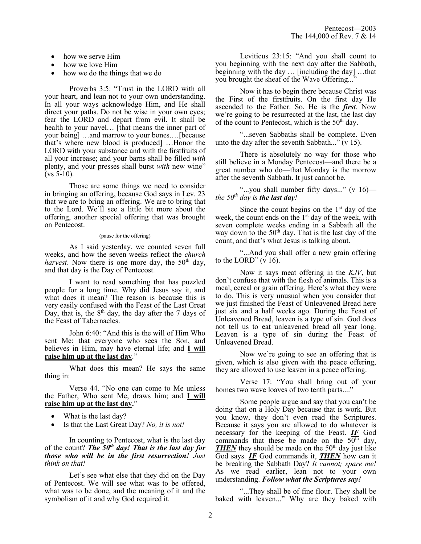- how we serve Him
- how we love Him
- how we do the things that we do

Proverbs 3:5: "Trust in the LORD with all your heart, and lean not to your own understanding. In all your ways acknowledge Him, and He shall direct your paths. Do not be wise in your own eyes; fear the LORD and depart from evil. It shall be health to your navel... [that means the inner part of your being] …and marrow to your bones.…[because that's where new blood is produced] …Honor the LORD with your substance and with the firstfruits of all your increase; and your barns shall be filled *with* plenty, and your presses shall burst *with* new wine" (vs 5-10).

Those are some things we need to consider in bringing an offering, because God says in Lev. 23 that we are to bring an offering. We are to bring that to the Lord. We'll see a little bit more about the offering, another special offering that was brought on Pentecost.

#### (pause for the offering)

As I said yesterday, we counted seven full weeks, and how the seven weeks reflect the *church harvest*. Now there is one more day, the  $50<sup>th</sup>$  day, and that day is the Day of Pentecost.

I want to read something that has puzzled people for a long time. Why did Jesus say it, and what does it mean? The reason is because this is very easily confused with the Feast of the Last Great Day, that is, the  $8<sup>th</sup>$  day, the day after the 7 days of the Feast of Tabernacles.

John 6:40: "And this is the will of Him Who sent Me: that everyone who sees the Son, and believes in Him, may have eternal life; and **I will raise him up at the last day**."

What does this mean? He says the same thing in:

Verse 44. "No one can come to Me unless the Father, Who sent Me, draws him; and **I will raise him up at the last day.**"

- What is the last day?
- Is that the Last Great Day? *No, it is not!*

In counting to Pentecost, what is the last day of the count? *The 50th day! That is the last day for those who will be in the first resurrection! Just think on that!*

Let's see what else that they did on the Day of Pentecost. We will see what was to be offered, what was to be done, and the meaning of it and the symbolism of it and why God required it.

Leviticus 23:15: "And you shall count to you beginning with the next day after the Sabbath, beginning with the day … [including the day] …that you brought the sheaf of the Wave Offering...'

Now it has to begin there because Christ was the First of the firstfruits. On the first day He ascended to the Father. So, He is the *first*. Now we're going to be resurrected at the last, the last day of the count to Pentecost, which is the  $50<sup>th</sup>$  day.

"...seven Sabbaths shall be complete. Even unto the day after the seventh Sabbath..." (v 15).

There is absolutely no way for those who still believe in a Monday Pentecost—and there be a great number who do—that Monday is the morrow after the seventh Sabbath. It just cannot be.

"...you shall number fifty days..." (v 16) *the 50th day is the last day!*

Since the count begins on the  $1<sup>st</sup>$  day of the week, the count ends on the 1<sup>st</sup> day of the week, with seven complete weeks ending in a Sabbath all the way down to the  $50<sup>th</sup>$  day. That is the last day of the count, and that's what Jesus is talking about.

"...And you shall offer a new grain offering to the LORD"  $(v 16)$ .

Now it says meat offering in the *KJV*, but don't confuse that with the flesh of animals. This is a meal, cereal or grain offering. Here's what they were to do. This is very unusual when you consider that we just finished the Feast of Unleavened Bread here just six and a half weeks ago. During the Feast of Unleavened Bread, leaven is a type of sin. God does not tell us to eat unleavened bread all year long. Leaven is a type of sin during the Feast of Unleavened Bread.

Now we're going to see an offering that is given, which is also given with the peace offering, they are allowed to use leaven in a peace offering.

Verse 17: "You shall bring out of your homes two wave loaves of two tenth parts...."

Some people argue and say that you can't be doing that on a Holy Day because that is work. But you know, they don't even read the Scriptures. Because it says you are allowed to do whatever is necessary for the keeping of the Feast. *IF* God commands that these be made on the  $50<sup>th</sup>$  day, *THEN* they should be made on the 50<sup>th</sup> day just like God says. *IF* God commands it, *THEN* how can it be breaking the Sabbath Day? *It cannot; spare me!* As we read earlier, lean not to your own understanding. *Follow what the Scriptures say!*

"...They shall be of fine flour. They shall be baked with leaven..." Why are they baked with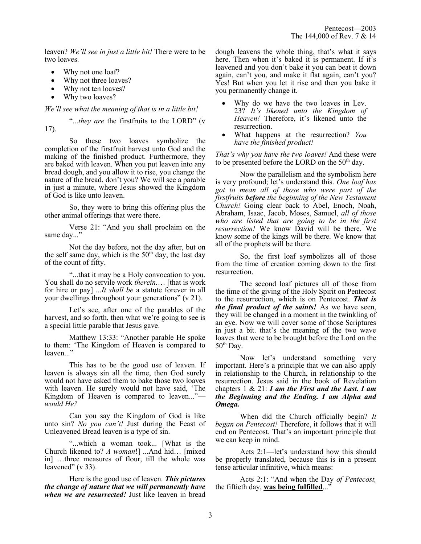leaven? *We'll see in just a little bit!* There were to be two loaves.

- Why not one loaf?
- Why not three loaves?
- Why not ten loaves?
- Why two loaves?

## *We'll see what the meaning of that is in a little bit!*

"...*they are* the firstfruits to the LORD" (v 17).

So these two loaves symbolize the completion of the firstfruit harvest unto God and the making of the finished product. Furthermore, they are baked with leaven. When you put leaven into any bread dough, and you allow it to rise, you change the nature of the bread, don't you? We will see a parable in just a minute, where Jesus showed the Kingdom of God is like unto leaven.

So, they were to bring this offering plus the other animal offerings that were there.

Verse 21: "And you shall proclaim on the same day..."

Not the day before, not the day after, but on the self same day, which is the  $50<sup>th</sup>$  day, the last day of the count of fifty.

"...that it may be a Holy convocation to you. You shall do no servile work *therein.*… [that is work for hire or pay] ...*It shall be* a statute forever in all your dwellings throughout your generations" (v 21).

Let's see, after one of the parables of the harvest, and so forth, then what we're going to see is a special little parable that Jesus gave.

Matthew 13:33: "Another parable He spoke to them: 'The Kingdom of Heaven is compared to leaven..."

This has to be the good use of leaven. If leaven is always sin all the time, then God surely would not have asked them to bake those two loaves with leaven. He surely would not have said, 'The Kingdom of Heaven is compared to leaven..." *would He?*

Can you say the Kingdom of God is like unto sin? *No you can't!* Just during the Feast of Unleavened Bread leaven is a type of sin.

"...which a woman took... [What is the Church likened to? *A woman*!] ...And hid… [mixed in] …three measures of flour, till the whole was leavened" (v 33).

Here is the good use of leaven. *This pictures the change of nature that we will permanently have when we are resurrected!* Just like leaven in bread dough leavens the whole thing, that's what it says here. Then when it's baked it is permanent. If it's leavened and you don't bake it you can beat it down again, can't you, and make it flat again, can't you? Yes! But when you let it rise and then you bake it you permanently change it.

- Why do we have the two loaves in Lev. 23? *It's likened unto the Kingdom of Heaven!* Therefore, it's likened unto the resurrection.
- What happens at the resurrection? *You have the finished product!*

*That's why you have the two loaves!* And these were to be presented before the LORD on the 50<sup>th</sup> day.

Now the parallelism and the symbolism here is very profound; let's understand this. *One loaf has got to mean all of those who were part of the firstfruits before the beginning of the New Testament Church!* Going clear back to Abel, Enoch, Noah, Abraham, Isaac, Jacob, Moses, Samuel, *all of those who are listed that are going to be in the first resurrection!* We know David will be there. We know some of the kings will be there. We know that all of the prophets will be there.

So, the first loaf symbolizes all of those from the time of creation coming down to the first resurrection.

The second loaf pictures all of those from the time of the giving of the Holy Spirit on Pentecost to the resurrection, which is on Pentecost. *That is the final product of the saints!* As we have seen, they will be changed in a moment in the twinkling of an eye. Now we will cover some of those Scriptures in just a bit. that's the meaning of the two wave loaves that were to be brought before the Lord on the  $50<sup>th</sup>$  Day.

Now let's understand something very important. Here's a principle that we can also apply in relationship to the Church, in relationship to the resurrection. Jesus said in the book of Revelation chapters 1 & 21: *I am the First and the Last. I am the Beginning and the Ending. I am Alpha and Omega.*

When did the Church officially begin? *It began on Pentecost!* Therefore, it follows that it will end on Pentecost. That's an important principle that we can keep in mind.

Acts 2:1—let's understand how this should be properly translated, because this is in a present tense articular infinitive, which means:

Acts 2:1: "And when the Day *of Pentecost,* the fiftieth day, **was being fulfilled**..."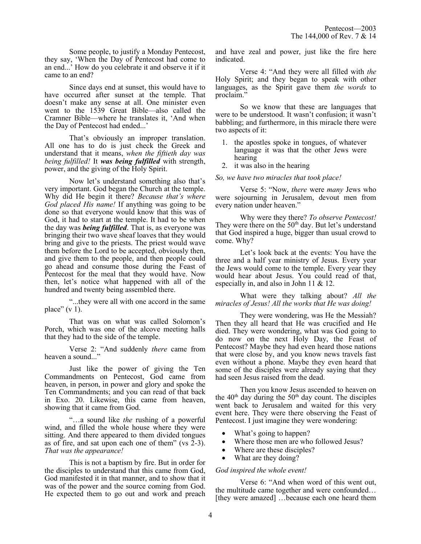Some people, to justify a Monday Pentecost, they say, 'When the Day of Pentecost had come to an end...' How do you celebrate it and observe it if it came to an end?

Since days end at sunset, this would have to have occurred after sunset at the temple. That doesn't make any sense at all. One minister even went to the 1539 Great Bible—also called the Cramner Bible—where he translates it, 'And when the Day of Pentecost had ended...'

That's obviously an improper translation. All one has to do is just check the Greek and understand that it means, *when the fiftieth day was being fulfilled!* It *was being fulfilled* with strength, power, and the giving of the Holy Spirit.

Now let's understand something also that's very important. God began the Church at the temple. Why did He begin it there? *Because that's where God placed His name!* If anything was going to be done so that everyone would know that this was of God, it had to start at the temple. It had to be when the day was *being fulfilled*. That is, as everyone was bringing their two wave sheaf loaves that they would bring and give to the priests. The priest would wave them before the Lord to be accepted, obviously then, and give them to the people, and then people could go ahead and consume those during the Feast of Pentecost for the meal that they would have. Now then, let's notice what happened with all of the hundred and twenty being assembled there.

"...they were all with one accord in the same place"  $(v 1)$ .

That was on what was called Solomon's Porch, which was one of the alcove meeting halls that they had to the side of the temple.

Verse 2: "And suddenly *there* came from heaven a sound..."

Just like the power of giving the Ten Commandments on Pentecost, God came from heaven, in person, in power and glory and spoke the Ten Commandments; and you can read of that back in Exo. 20. Likewise, this came from heaven, showing that it came from God.

"…a sound like *the* rushing of a powerful wind, and filled the whole house where they were sitting. And there appeared to them divided tongues as of fire, and sat upon each one of them" (vs 2-3). *That was the appearance!* 

This is not a baptism by fire. But in order for the disciples to understand that this came from God, God manifested it in that manner, and to show that it was of the power and the source coming from God. He expected them to go out and work and preach and have zeal and power, just like the fire here indicated.

Verse 4: "And they were all filled with *the* Holy Spirit; and they began to speak with other languages, as the Spirit gave them *the words* to proclaim."

So we know that these are languages that were to be understood. It wasn't confusion; it wasn't babbling; and furthermore, in this miracle there were two aspects of it:

- 1. the apostles spoke in tongues, of whatever language it was that the other Jews were hearing
- 2. it was also in the hearing

#### *So, we have two miracles that took place!*

Verse 5: "Now, *there* were *many* Jews who were sojourning in Jerusalem, devout men from every nation under heaven."

Why were they there? *To observe Pentecost!* They were there on the  $50<sup>th</sup>$  day. But let's understand that God inspired a huge, bigger than usual crowd to come. Why?

Let's look back at the events: You have the three and a half year ministry of Jesus. Every year the Jews would come to the temple. Every year they would hear about Jesus. You could read of that, especially in, and also in John 11 & 12.

What were they talking about? *All the miracles of Jesus! All the works that He was doing!*

They were wondering, was He the Messiah? Then they all heard that He was crucified and He died. They were wondering, what was God going to do now on the next Holy Day, the Feast of Pentecost? Maybe they had even heard those nations that were close by, and you know news travels fast even without a phone. Maybe they even heard that some of the disciples were already saying that they had seen Jesus raised from the dead.

Then you know Jesus ascended to heaven on the  $40<sup>th</sup>$  day during the  $50<sup>th</sup>$  day count. The disciples went back to Jerusalem and waited for this very event here. They were there observing the Feast of Pentecost. I just imagine they were wondering:

- What's going to happen?
- Where those men are who followed Jesus?
- Where are these disciples?
- What are they doing?

#### *God inspired the whole event!*

Verse 6: "And when word of this went out, the multitude came together and were confounded… [they were amazed] …because each one heard them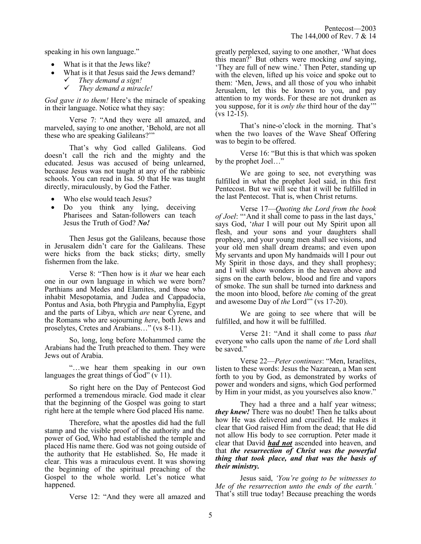speaking in his own language."

- What is it that the Jews like?
- What is it that Jesus said the Jews demand?
	- ✓ *They demand a sign!*
	- ✓ *They demand a miracle!*

*God gave it to them!* Here's the miracle of speaking in their language. Notice what they say:

Verse 7: "And they were all amazed, and marveled, saying to one another, 'Behold, are not all these who are speaking Galileans?'"

That's why God called Galileans. God doesn't call the rich and the mighty and the educated. Jesus was accused of being unlearned, because Jesus was not taught at any of the rabbinic schools. You can read in Isa. 50 that He was taught directly, miraculously, by God the Father.

- Who else would teach Jesus?
- Do you think any lying, deceiving Pharisees and Satan-followers can teach Jesus the Truth of God? *No!*

Then Jesus got the Galileans, because those in Jerusalem didn't care for the Galileans. These were hicks from the back sticks; dirty, smelly fishermen from the lake.

Verse 8: "Then how is it *that* we hear each one in our own language in which we were born? Parthians and Medes and Elamites, and those who inhabit Mesopotamia, and Judea and Cappadocia, Pontus and Asia, both Phrygia and Pamphylia, Egypt and the parts of Libya, which *are* near Cyrene, and the Romans who are sojourning *here*, both Jews and proselytes, Cretes and Arabians…" (vs 8-11).

So, long, long before Mohammed came the Arabians had the Truth preached to them. They were Jews out of Arabia.

"…we hear them speaking in our own languages the great things of God" (v 11).

So right here on the Day of Pentecost God performed a tremendous miracle. God made it clear that the beginning of the Gospel was going to start right here at the temple where God placed His name.

Therefore, what the apostles did had the full stamp and the visible proof of the authority and the power of God, Who had established the temple and placed His name there. God was not going outside of the authority that He established. So, He made it clear. This was a miraculous event. It was showing the beginning of the spiritual preaching of the Gospel to the whole world. Let's notice what happened.

Verse 12: "And they were all amazed and

greatly perplexed, saying to one another, 'What does this mean?' But others were mocking *and* saying, 'They are full of new wine.' Then Peter, standing up with the eleven, lifted up his voice and spoke out to them: 'Men, Jews, and all those of you who inhabit Jerusalem, let this be known to you, and pay attention to my words. For these are not drunken as you suppose, for it is *only the* third hour of the day'" (vs 12-15).

That's nine-o'clock in the morning. That's when the two loaves of the Wave Sheaf Offering was to begin to be offered.

Verse 16: "But this is that which was spoken by the prophet Joel…"

We are going to see, not everything was fulfilled in what the prophet Joel said, in this first Pentecost. But we will see that it will be fulfilled in the last Pentecost. That is, when Christ returns.

Verse 17—*Quoting the Lord from the book of Joel*: "'And it shall come to pass in the last days,' says God, '*that* I will pour out My Spirit upon all flesh, and your sons and your daughters shall prophesy, and your young men shall see visions, and your old men shall dream dreams; and even upon My servants and upon My handmaids will I pour out My Spirit in those days, and they shall prophesy; and I will show wonders in the heaven above and signs on the earth below, blood and fire and vapors of smoke. The sun shall be turned into darkness and the moon into blood, before *the* coming of the great and awesome Day of *the* Lord'" (vs 17-20).

We are going to see where that will be fulfilled, and how it will be fulfilled.

Verse 21: "And it shall come to pass *that* everyone who calls upon the name of *the* Lord shall be saved."

Verse 22—*Peter continues*: "Men, Israelites, listen to these words: Jesus the Nazarean, a Man sent forth to you by God, as demonstrated by works of power and wonders and signs, which God performed by Him in your midst, as you yourselves also know."

They had a three and a half year witness; *they knew!* There was no doubt! Then he talks about how He was delivered and crucified. He makes it clear that God raised Him from the dead; that He did not allow His body to see corruption. Peter made it clear that David *had not* ascended into heaven, and that *the resurrection of Christ was the powerful thing that took place, and that was the basis of their ministry.*

Jesus said, *'You're going to be witnesses to Me of the resurrection unto the ends of the earth.'* That's still true today! Because preaching the words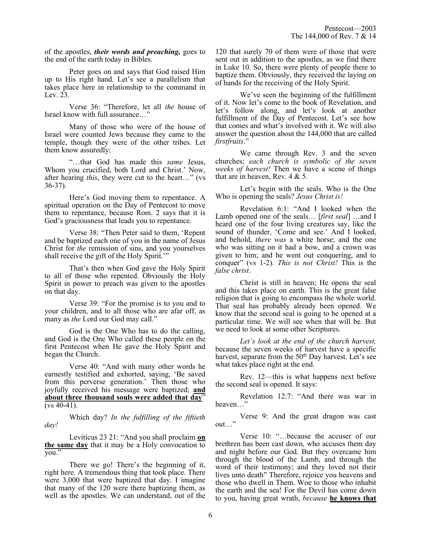of the apostles, *their words and preaching,* goes to the end of the earth today in Bibles.

Peter goes on and says that God raised Him up to His right hand. Let's see a parallelism that takes place here in relationship to the command in Lev. 23.

Verse 36: "Therefore, let all *the* house of Israel know with full assurance…"

Many of those who were of the house of Israel were counted Jews because they came to the temple, though they were of the other tribes. Let them know assuredly:

"…that God has made this *same* Jesus, Whom you crucified, both Lord and Christ.' Now, after hearing *this*, they were cut to the heart…" (vs 36-37).

Here's God moving them to repentance. A spiritual operation on the Day of Pentecost to move them to repentance, because Rom. 2 says that it is God's graciousness that leads you to repentance.

Verse 38: "Then Peter said to them, 'Repent and be baptized each one of you in the name of Jesus Christ for *the* remission of sins, and you yourselves shall receive the gift of the Holy Spirit."

That's then when God gave the Holy Spirit to all of those who repented. Obviously the Holy Spirit in power to preach was given to the apostles on that day.

Verse 39: "For the promise is to you and to your children, and to all those who are afar off, as many as *the* Lord our God may call."

God is the One Who has to do the calling, and God is the One Who called these people on the first Pentecost when He gave the Holy Spirit and began the Church.

Verse 40: "And with many other words he earnestly testified and exhorted, saying, 'Be saved from this perverse generation.' Then those who joyfully received his message were baptized; **and about three thousand souls were added that day**"  $(vs 40-41)$ .

Which day? *In the fulfilling of the fiftieth day!*

Leviticus 23 21: "And you shall proclaim **on the same day** that it may be a Holy convocation to you."

There we go! There's the beginning of it, right here. A tremendous thing that took place. There were 3,000 that were baptized that day. I imagine that many of the 120 were there baptizing them, as well as the apostles. We can understand, out of the

120 that surely 70 of them were of those that were sent out in addition to the apostles, as we find there in Luke 10. So, there were plenty of people there to baptize them. Obviously, they received the laying on of hands for the receiving of the Holy Spirit.

We've seen the beginning of the fulfillment of it. Now let's come to the book of Revelation, and let's follow along, and let's look at another fulfillment of the Day of Pentecost. Let's see how that comes and what's involved with it. We will also answer the question about the 144,000 that are called *firstfruits*."

We came through Rev. 3 and the seven churches; *each church is symbolic of the seven weeks of harvest!* Then we have a scene of things that are in heaven, Rev. 4 & 5.

Let's begin with the seals. Who is the One Who is opening the seals? *Jesus Christ is!*

Revelation 6:1: "And I looked when the Lamb opened one of the seals… [*first seal*] …and I heard one of the four living creatures say, like the sound of thunder, 'Come and see.' And I looked, and behold, *there was* a white horse; and the one who was sitting on it had a bow, and a crown was given to him; and he went out conquering, and to conquer" (vs 1-2). *This is not Christ!* This is the *false christ*.

Christ is still in heaven; He opens the seal and this takes place on earth. This is the great false religion that is going to encompass the whole world. That seal has probably already been opened. We know that the second seal is going to be opened at a particular time. We will see when that will be. But we need to look at some other Scriptures.

*Let's look at the end of the church harvest,*  because the seven weeks of harvest have a specific harvest, separate from the  $50<sup>th</sup>$  Day harvest. Let's see what takes place right at the end.

Rev. 12—this is what happens next before the second seal is opened. It says:

Revelation 12:7: "And there was war in heaven…"

Verse 9: And the great dragon was cast out…"

Verse 10: "…because the accuser of our brethren has been cast down, who accuses them day and night before our God. But they overcame him through the blood of the Lamb, and through the word of their testimony; and they loved not their lives unto death" Therefore, rejoice you heavens and those who dwell in Them. Woe to those who inhabit the earth and the sea! For the Devil has come down to you, having great wrath, *because* **he knows that**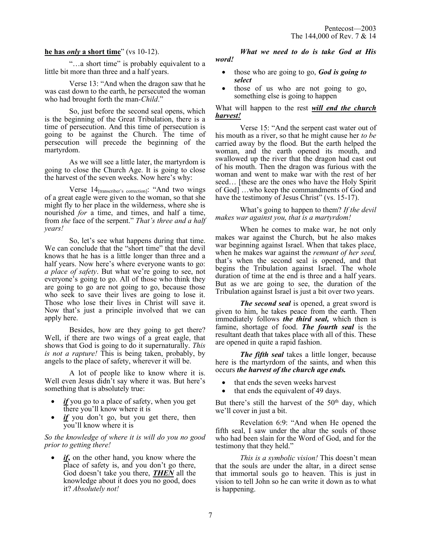## **he has** *only* **a short time**" (vs 10-12).

"…a short time" is probably equivalent to a little bit more than three and a half years.

Verse 13: "And when the dragon saw that he was cast down to the earth, he persecuted the woman who had brought forth the man-*Child*."

So, just before the second seal opens, which is the beginning of the Great Tribulation, there is a time of persecution. And this time of persecution is going to be against the Church. The time of persecution will precede the beginning of the martyrdom.

As we will see a little later, the martyrdom is going to close the Church Age. It is going to close the harvest of the seven weeks. Now here's why:

Verse 14[transcriber's correction]: "And two wings of a great eagle were given to the woman, so that she might fly to her place in the wilderness, where she is nourished *for* a time, and times, and half a time, from *the* face of the serpent." *That's three and a half years!*

So, let's see what happens during that time. We can conclude that the "short time" that the devil knows that he has is a little longer than three and a half years. Now here's where everyone wants to go: *a place of safety*. But what we're going to see, not everyone's going to go. All of those who think they are going to go are not going to go, because those who seek to save their lives are going to lose it. Those who lose their lives in Christ will save it. Now that's just a principle involved that we can apply here.

Besides, how are they going to get there? Well, if there are two wings of a great eagle, that shows that God is going to do it supernaturally. *This is not a rapture!* This is being taken, probably, by angels to the place of safety, wherever it will be.

A lot of people like to know where it is. Well even Jesus didn<sup>7</sup>t say where it was. But here's something that is absolutely true:

- if you go to a place of safety, when you get there you'll know where it is
- *if* you don't go, but you get there, then you'll know where it is

## *So the knowledge of where it is will do you no good prior to getting there!*

if, on the other hand, you know where the place of safety is, and you don't go there, God doesn't take you there, *THEN* all the knowledge about it does you no good, does it? *Absolutely not!*

### *What we need to do is take God at His word!*

- those who are going to go, *God is going to select*
- those of us who are not going to go, something else is going to happen

## What will happen to the rest *will end the church harvest!*

Verse 15: "And the serpent cast water out of his mouth as a river, so that he might cause her *to be* carried away by the flood. But the earth helped the woman, and the earth opened its mouth, and swallowed up the river that the dragon had cast out of his mouth. Then the dragon was furious with the woman and went to make war with the rest of her seed… [these are the ones who have the Holy Spirit of God] …who keep the commandments of God and have the testimony of Jesus Christ" (vs. 15-17).

What's going to happen to them? *If the devil makes war against you, that is a martyrdom!*

When he comes to make war, he not only makes war against the Church, but he also makes war beginning against Israel. When that takes place, when he makes war against the *remnant of her seed,* that's when the second seal is opened, and that begins the Tribulation against Israel. The whole duration of time at the end is three and a half years. But as we are going to see, the duration of the Tribulation against Israel is just a bit over two years.

*The second seal* is opened, a great sword is given to him, he takes peace from the earth. Then immediately follows *the third seal,* which then is famine, shortage of food. *The fourth seal* is the resultant death that takes place with all of this. These are opened in quite a rapid fashion.

*The fifth seal* takes a little longer, because here is the martyrdom of the saints, and when this occurs *the harvest of the church age ends.*

- that ends the seven weeks harvest
- that ends the equivalent of 49 days.

But there's still the harvest of the  $50<sup>th</sup>$  day, which we'll cover in just a bit.

Revelation 6:9: "And when He opened the fifth seal, I saw under the altar the souls of those who had been slain for the Word of God, and for the testimony that they held."

*This is a symbolic vision!* This doesn't mean that the souls are under the altar, in a direct sense that immortal souls go to heaven. This is just in vision to tell John so he can write it down as to what is happening.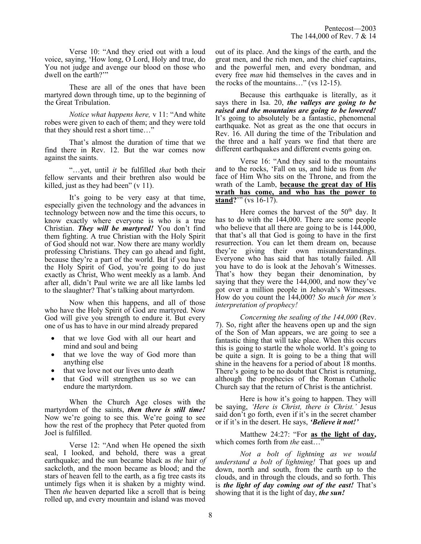Verse 10: "And they cried out with a loud voice, saying, 'How long, O Lord, Holy and true, do You not judge and avenge our blood on those who dwell on the earth?'"

These are all of the ones that have been martyred down through time, up to the beginning of the Great Tribulation.

*Notice what happens here,* v 11: "And white robes were given to each of them; and they were told that they should rest a short time…"

That's almost the duration of time that we find there in Rev. 12. But the war comes now against the saints.

"…yet, until *it* be fulfilled *that* both their fellow servants and their brethren also would be killed, just as they had been" (v 11).

It's going to be very easy at that time, especially given the technology and the advances in technology between now and the time this occurs, to know exactly where everyone is who is a true Christian. *They will be martyred!* You don't find them fighting. A true Christian with the Holy Spirit of God should not war. Now there are many worldly professing Christians. They can go ahead and fight, because they're a part of the world. But if you have the Holy Spirit of God, you're going to do just exactly as Christ, Who went meekly as a lamb. And after all, didn't Paul write we are all like lambs led to the slaughter? That's talking about martyrdom.

Now when this happens, and all of those who have the Holy Spirit of God are martyred. Now God will give you strength to endure it. But every one of us has to have in our mind already prepared

- that we love God with all our heart and mind and soul and being
- that we love the way of God more than anything else
- that we love not our lives unto death
- that God will strengthen us so we can endure the martyrdom.

When the Church Age closes with the martyrdom of the saints, *then there is still time!* Now we're going to see this. We're going to see how the rest of the prophecy that Peter quoted from Joel is fulfilled.

Verse 12: "And when He opened the sixth seal, I looked, and behold, there was a great earthquake; and the sun became black as *the* hair *of* sackcloth, and the moon became as blood; and the stars of heaven fell to the earth, as a fig tree casts its untimely figs when it is shaken by a mighty wind. Then *the* heaven departed like a scroll that is being rolled up, and every mountain and island was moved

out of its place. And the kings of the earth, and the great men, and the rich men, and the chief captains, and the powerful men, and every bondman, and every free *man* hid themselves in the caves and in the rocks of the mountains…" (vs 12-15).

Because this earthquake is literally, as it says there in Isa. 20, *the valleys are going to be raised and the mountains are going to be lowered!* It's going to absolutely be a fantastic, phenomenal earthquake. Not as great as the one that occurs in Rev. 16. All during the time of the Tribulation and the three and a half years we find that there are different earthquakes and different events going on.

Verse 16: "And they said to the mountains and to the rocks, 'Fall on us, and hide us from *the* face of Him Who sits on the Throne, and from the wrath of the Lamb, **because the great day of His wrath has come, and who has the power to stand?**"" (vs 16-17).

Here comes the harvest of the  $50<sup>th</sup>$  day. It has to do with the 144,000. There are some people who believe that all there are going to be is  $144,000$ , that that's all that God is going to have in the first resurrection. You can let them dream on, because they're giving their own misunderstandings. Everyone who has said that has totally failed. All you have to do is look at the Jehovah's Witnesses. That's how they began their denomination, by saying that they were the 144,000, and now they've got over a million people in Jehovah's Witnesses. How do you count the 144,000? *So much for men's interpretation of prophecy!*

*Concerning the sealing of the 144,000* (Rev. 7). So, right after the heavens open up and the sign of the Son of Man appears, we are going to see a fantastic thing that will take place. When this occurs this is going to startle the whole world. It's going to be quite a sign. It is going to be a thing that will shine in the heavens for a period of about 18 months. There's going to be no doubt that Christ is returning, although the prophecies of the Roman Catholic Church say that the return of Christ is the antichrist.

Here is how it's going to happen. They will be saying, *'Here is Christ, there is Christ.'* Jesus said don't go forth, even if it's in the secret chamber or if it's in the desert. He says, *'Believe it not!'* 

Matthew 24:27: "For **as the light of day,** which comes forth from *the* east…"

*Not a bolt of lightning as we would understand a bolt of lightning!* That goes up and down, north and south, from the earth up to the clouds, and in through the clouds, and so forth. This is *the light of day coming out of the east!* That's showing that it is the light of day, *the sun!*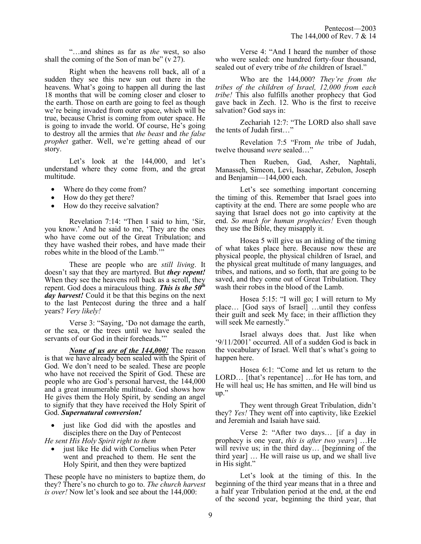"…and shines as far as *the* west, so also shall the coming of the Son of man be" (v 27).

Right when the heavens roll back, all of a sudden they see this new sun out there in the heavens. What's going to happen all during the last 18 months that will be coming closer and closer to the earth. Those on earth are going to feel as though we're being invaded from outer space, which will be true, because Christ is coming from outer space. He is going to invade the world. Of course, He's going to destroy all the armies that *the beast* and *the false prophet* gather. Well, we're getting ahead of our story.

Let's look at the 144,000, and let's understand where they come from, and the great multitude.

- Where do they come from?
- How do they get there?
- How do they receive salvation?

Revelation 7:14: "Then I said to him, 'Sir, you know.' And he said to me, 'They are the ones who have come out of the Great Tribulation; and they have washed their robes, and have made their robes white in the blood of the Lamb.'"

These are people who are *still living*. It doesn't say that they are martyred. But *they repent!* When they see the heavens roll back as a scroll, they repent. God does a miraculous thing. *This is the 50th day harvest!* Could it be that this begins on the next to the last Pentecost during the three and a half years? *Very likely!*

Verse 3: "Saying, 'Do not damage the earth, or the sea, or the trees until we have sealed the servants of our God in their foreheads.'"

*None of us are of the 144,000!* The reason is that we have already been sealed with the Spirit of God. We don't need to be sealed. These are people who have not received the Spirit of God. These are people who are God's personal harvest, the 144,000 and a great innumerable multitude. God shows how He gives them the Holy Spirit, by sending an angel to signify that they have received the Holy Spirit of God. *Supernatural conversion!*

just like God did with the apostles and disciples there on the Day of Pentecost

*He sent His Holy Spirit right to them*

just like He did with Cornelius when Peter went and preached to them. He sent the Holy Spirit, and then they were baptized

These people have no ministers to baptize them, do they? There's no church to go to. *The church harvest is over!* Now let's look and see about the 144,000:

Verse 4: "And I heard the number of those who were sealed: one hundred forty-four thousand, sealed out of every tribe of *the* children of Israel."

Who are the 144,000? *They're from the tribes of the children of Israel, 12,000 from each tribe!* This also fulfills another prophecy that God gave back in Zech. 12. Who is the first to receive salvation? God says in:

Zechariah 12:7: "The LORD also shall save the tents of Judah first…"

Revelation 7:5 "From *the* tribe of Judah, twelve thousand *were* sealed…"

Then Rueben, Gad, Asher, Naphtali, Manasseh, Simeon, Levi, Issachar, Zebulon, Joseph and Benjamin—144,000 each.

Let's see something important concerning the timing of this. Remember that Israel goes into captivity at the end. There are some people who are saying that Israel does not go into captivity at the end. *So much for human prophecies!* Even though they use the Bible, they misapply it.

Hosea 5 will give us an inkling of the timing of what takes place here. Because now these are physical people, the physical children of Israel, and the physical great multitude of many languages, and tribes, and nations, and so forth, that are going to be saved, and they come out of Great Tribulation. They wash their robes in the blood of the Lamb.

Hosea 5:15: "I will go; I will return to My place… [God says of Israel] …until they confess their guilt and seek My face; in their affliction they will seek Me earnestly."

Israel always does that. Just like when '9/11/2001' occurred. All of a sudden God is back in the vocabulary of Israel. Well that's what's going to happen here.

Hosea 6:1: "Come and let us return to the LORD… [that's repentance] …for He has torn, and He will heal us; He has smitten, and He will bind us up."

They went through Great Tribulation, didn't they? *Yes!* They went off into captivity, like Ezekiel and Jeremiah and Isaiah have said.

Verse 2: "After two days… [if a day in prophecy is one year, *this is after two years*] …He will revive us; in the third day... [beginning of the third year] … He will raise us up, and we shall live in His sight."

Let's look at the timing of this. In the beginning of the third year means that in a three and a half year Tribulation period at the end, at the end of the second year, beginning the third year, that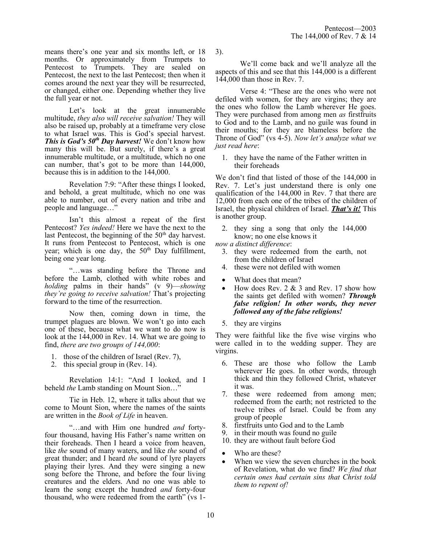means there's one year and six months left, or 18 months. Or approximately from Trumpets to Pentecost to Trumpets. They are sealed on Pentecost, the next to the last Pentecost; then when it comes around the next year they will be resurrected, or changed, either one. Depending whether they live the full year or not.

Let's look at the great innumerable multitude, *they also will receive salvation!* They will also be raised up, probably at a timeframe very close to what Israel was. This is God's special harvest. *This is God's 50th Day harvest!* We don't know how many this will be. But surely, if there's a great innumerable multitude, or a multitude, which no one can number, that's got to be more than 144,000, because this is in addition to the 144,000.

Revelation 7:9: "After these things I looked, and behold, a great multitude, which no one was able to number, out of every nation and tribe and people and language…"

Isn't this almost a repeat of the first Pentecost? *Yes indeed!* Here we have the next to the last Pentecost, the beginning of the  $50<sup>th</sup>$  day harvest. It runs from Pentecost to Pentecost, which is one year; which is one day, the  $50<sup>th</sup>$  Day fulfillment, being one year long.

"…was standing before the Throne and before the Lamb, clothed with white robes and *holding* palms in their hands" (v 9)—*showing they're going to receive salvation!* That's projecting forward to the time of the resurrection.

Now then, coming down in time, the trumpet plagues are blown. We won't go into each one of these, because what we want to do now is look at the 144,000 in Rev. 14. What we are going to find, *there are two groups of 144,000*:

- 1. those of the children of Israel (Rev. 7),
- 2. this special group in (Rev. 14).

Revelation 14:1: "And I looked, and I beheld *the* Lamb standing on Mount Sion…"

Tie in Heb. 12, where it talks about that we come to Mount Sion, where the names of the saints are written in the *Book of Life* in heaven.

"…and with Him one hundred *and* fortyfour thousand, having His Father's name written on their foreheads. Then I heard a voice from heaven, like *the* sound of many waters, and like *the* sound of great thunder; and I heard *the* sound of lyre players playing their lyres. And they were singing a new song before the Throne, and before the four living creatures and the elders. And no one was able to learn the song except the hundred *and* forty-four thousand, who were redeemed from the earth" (vs 13).

We'll come back and we'll analyze all the aspects of this and see that this 144,000 is a different 144,000 than those in Rev. 7.

Verse 4: "These are the ones who were not defiled with women, for they are virgins; they are the ones who follow the Lamb wherever He goes. They were purchased from among men *as* firstfruits to God and to the Lamb, and no guile was found in their mouths; for they are blameless before the Throne of God" (vs 4-5). *Now let's analyze what we just read here*:

1. they have the name of the Father written in their foreheads

We don't find that listed of those of the 144,000 in Rev. 7. Let's just understand there is only one qualification of the 144,000 in Rev. 7 that there are 12,000 from each one of the tribes of the children of Israel, the physical children of Israel. *That's it!* This is another group.

2. they sing a song that only the 144,000 know; no one else knows it

*now a distinct difference*:

- 3. they were redeemed from the earth, not from the children of Israel
- 4. these were not defiled with women
- What does that mean?
- How does Rev.  $2 \& 3$  and Rev. 17 show how the saints get defiled with women? *Through false religion! In other words, they never followed any of the false religions!*
- 5. they are virgins

They were faithful like the five wise virgins who were called in to the wedding supper. They are virgins.

- 6. These are those who follow the Lamb wherever He goes. In other words, through thick and thin they followed Christ, whatever it was.
- 7. these were redeemed from among men; redeemed from the earth; not restricted to the twelve tribes of Israel. Could be from any group of people
- 8. firstfruits unto God and to the Lamb
- 9. in their mouth was found no guile
- 10. they are without fault before God
- Who are these?
- When we view the seven churches in the book of Revelation, what do we find? *We find that certain ones had certain sins that Christ told them to repent of!*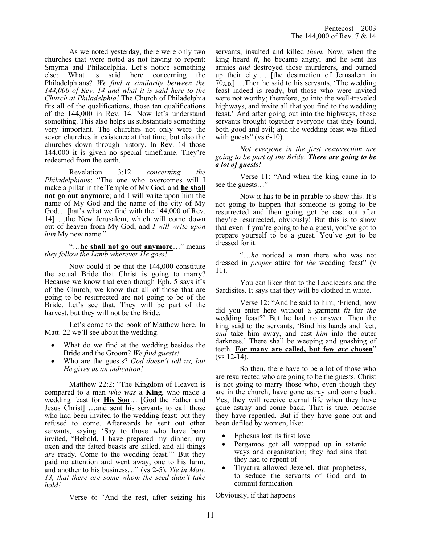As we noted yesterday, there were only two churches that were noted as not having to repent: Smyrna and Philadelphia. Let's notice something else: What is said here concerning the Philadelphians? *We find a similarity between the 144,000 of Rev. 14 and what it is said here to the Church at Philadelphia!* The Church of Philadelphia fits all of the qualifications, those ten qualifications of the 144,000 in Rev. 14. Now let's understand something. This also helps us substantiate something very important. The churches not only were the seven churches in existence at that time, but also the churches down through history. In Rev. 14 those 144,000 it is given no special timeframe. They're redeemed from the earth.

Revelation 3:12 *concerning the Philadelphians*: "The one who overcomes will I make a pillar in the Temple of My God, and **he shall not go out anymore**; and I will write upon him the name of My God and the name of the city of My God… [hat's what we find with the 144,000 of Rev. 14] …the New Jerusalem, which will come down out of heaven from My God; and *I will write upon him* My new name."

"…**he shall not go out anymore**…" means *they follow the Lamb wherever He goes!*

Now could it be that the 144,000 constitute the actual Bride that Christ is going to marry? Because we know that even though Eph. 5 says it's of the Church, we know that all of those that are going to be resurrected are not going to be of the Bride. Let's see that. They will be part of the harvest, but they will not be the Bride.

Let's come to the book of Matthew here. In Matt. 22 we'll see about the wedding.

- What do we find at the wedding besides the Bride and the Groom? *We find guests!*
- Who are the guests? *God doesn't tell us, but He gives us an indication!*

Matthew 22:2: "The Kingdom of Heaven is compared to a man *who was* **a King**, who made a wedding feast for **His Son**… [God the Father and Jesus Christ] …and sent his servants to call those who had been invited to the wedding feast; but they refused to come. Afterwards he sent out other servants, saying 'Say to those who have been invited, "Behold, I have prepared my dinner; my oxen and the fatted beasts are killed, and all things *are* ready. Come to the wedding feast."' But they paid no attention and went away, one to his farm, and another to his business…" (vs 2-5). *Tie in Matt. 13, that there are some whom the seed didn't take hold!*

Verse 6: "And the rest, after seizing his

servants, insulted and killed *them.* Now, when the king heard *it*, he became angry; and he sent his armies *and* destroyed those murderers, and burned up their city…. [the destruction of Jerusalem in  $70_{A,D}$ ] ... Then he said to his servants, 'The wedding feast indeed is ready, but those who were invited were not worthy; therefore, go into the well-traveled highways, and invite all that you find to the wedding feast.' And after going out into the highways, those servants brought together everyone that they found, both good and evil; and the wedding feast was filled with guests" (vs  $6-10$ ).

*Not everyone in the first resurrection are going to be part of the Bride. There are going to be a lot of guests!*

Verse 11: "And when the king came in to see the guests…"

Now it has to be in parable to show this. It's not going to happen that someone is going to be resurrected and then going got be cast out after they're resurrected, obviously! But this is to show that even if you're going to be a guest, you've got to prepare yourself to be a guest. You've got to be dressed for it.

"…*he* noticed a man there who was not dressed in *proper* attire for *the* wedding feast" (v 11).

You can liken that to the Laodiceans and the Sardisites. It says that they will be clothed in white.

Verse 12: "And he said to him, 'Friend, how did you enter here without a garment *fit* for *the* wedding feast?' But he had no answer. Then the king said to the servants, 'Bind his hands and feet, *and* take him away, and cast *him* into the outer darkness.' There shall be weeping and gnashing of teeth. **For many are called, but few** *are* **chosen**"  $(vs 12-14)$ .

So then, there have to be a lot of those who are resurrected who are going to be the guests. Christ is not going to marry those who, even though they are in the church, have gone astray and come back. Yes, they will receive eternal life when they have gone astray and come back. That is true, because they have repented. But if they have gone out and been defiled by women, like:

- Ephesus lost its first love
- Pergamos got all wrapped up in satanic ways and organization; they had sins that they had to repent of
- Thyatira allowed Jezebel, that prophetess, to seduce the servants of God and to commit fornication

Obviously, if that happens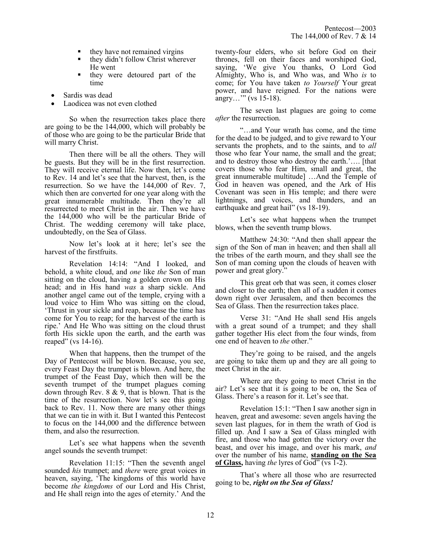- they have not remained virgins
- they didn't follow Christ wherever He went
- they were detoured part of the time
- Sardis was dead
- Laodicea was not even clothed

So when the resurrection takes place there are going to be the 144,000, which will probably be of those who are going to be the particular Bride that will marry Christ.

Then there will be all the others. They will be guests. But they will be in the first resurrection. They will receive eternal life. Now then, let's come to Rev. 14 and let's see that the harvest, then, is the resurrection. So we have the 144,000 of Rev. 7, which then are converted for one year along with the great innumerable multitude. Then they're all resurrected to meet Christ in the air. Then we have the 144,000 who will be the particular Bride of Christ. The wedding ceremony will take place, undoubtedly, on the Sea of Glass.

Now let's look at it here; let's see the harvest of the firstfruits.

Revelation 14:14: "And I looked, and behold, a white cloud, and *one* like *the* Son of man sitting on the cloud, having a golden crown on His head; and in His hand *was* a sharp sickle. And another angel came out of the temple, crying with a loud voice to Him Who was sitting on the cloud, 'Thrust in your sickle and reap, because the time has come for You to reap; for the harvest of the earth is ripe.' And He Who was sitting on the cloud thrust forth His sickle upon the earth, and the earth was reaped" (vs 14-16).

When that happens, then the trumpet of the Day of Pentecost will be blown. Because, you see, every Feast Day the trumpet is blown. And here, the trumpet of the Feast Day, which then will be the seventh trumpet of the trumpet plagues coming down through Rev. 8 & 9, that is blown. That is the time of the resurrection. Now let's see this going back to Rev. 11. Now there are many other things that we can tie in with it. But I wanted this Pentecost to focus on the 144,000 and the difference between them, and also the resurrection.

Let's see what happens when the seventh angel sounds the seventh trumpet:

Revelation 11:15: "Then the seventh angel sounded *his* trumpet; and *there* were great voices in heaven, saying, 'The kingdoms of this world have become *the kingdoms* of our Lord and His Christ, and He shall reign into the ages of eternity.' And the twenty-four elders, who sit before God on their thrones, fell on their faces and worshiped God, saying, 'We give You thanks, O Lord God Almighty, Who is, and Who was, and Who *is* to come; for You have taken *to Yourself* Your great power, and have reigned. For the nations were angry…'" (vs 15-18).

The seven last plagues are going to come *after* the resurrection.

"…and Your wrath has come, and the time for the dead to be judged, and to give reward to Your servants the prophets, and to the saints, and to *all* those who fear Your name, the small and the great; and to destroy those who destroy the earth.'…. [that covers those who fear Him, small and great, the great innumerable multitude] …And the Temple of God in heaven was opened, and the Ark of His Covenant was seen in His temple; and there were lightnings, and voices, and thunders, and an earthquake and great hail" (vs 18-19).

Let's see what happens when the trumpet blows, when the seventh trump blows.

Matthew 24:30: "And then shall appear the sign of the Son of man in heaven; and then shall all the tribes of the earth mourn, and they shall see the Son of man coming upon the clouds of heaven with power and great glory."

This great orb that was seen, it comes closer and closer to the earth; then all of a sudden it comes down right over Jerusalem, and then becomes the Sea of Glass. Then the resurrection takes place.

Verse 31: "And He shall send His angels with a great sound of a trumpet; and they shall gather together His elect from the four winds, from one end of heaven to *the* other."

They're going to be raised, and the angels are going to take them up and they are all going to meet Christ in the air.

Where are they going to meet Christ in the air? Let's see that it is going to be on, the Sea of Glass. There's a reason for it. Let's see that.

Revelation 15:1: "Then I saw another sign in heaven, great and awesome: seven angels having the seven last plagues, for in them the wrath of God is filled up. And I saw a Sea of Glass mingled with fire, and those who had gotten the victory over the beast, and over his image, and over his mark, *and* over the number of his name, **standing on the Sea of Glass,** having *the* lyres of God" (vs 1-2).

That's where all those who are resurrected going to be, *right on the Sea of Glass!*